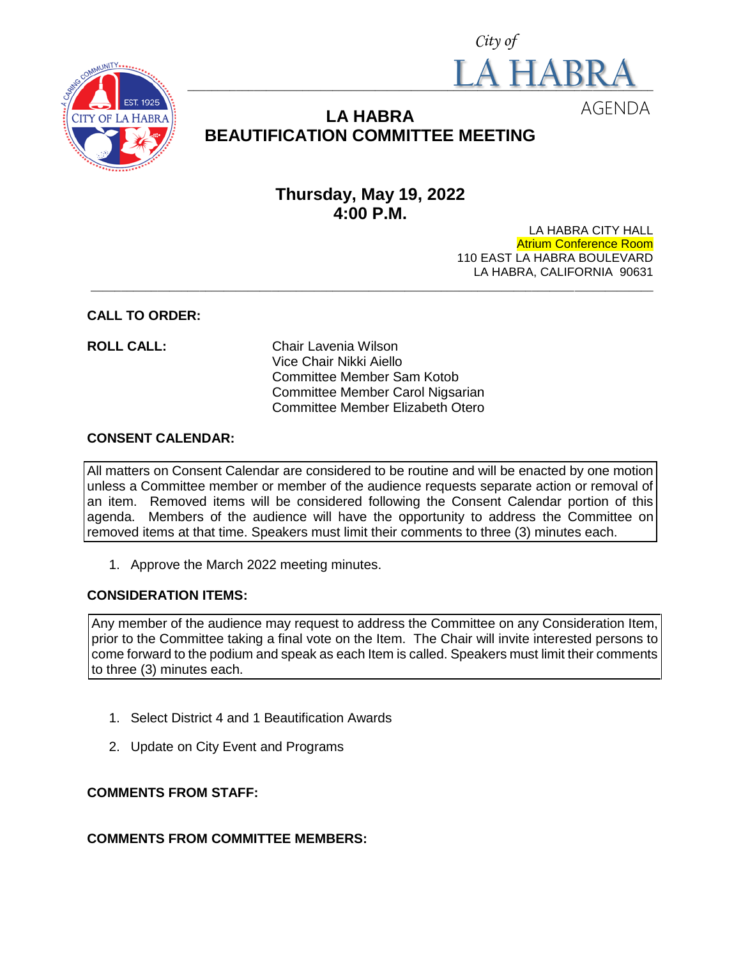



# **LA HABRA BEAUTIFICATION COMMITTEE MEETING**

# **Thursday, May 19, 2022 4:00 P.M.**

LA HABRA CITY HALL Atrium Conference Room 110 EAST LA HABRA BOULEVARD LA HABRA, CALIFORNIA 90631 **\_\_\_\_\_\_\_\_\_\_\_\_\_\_\_\_\_\_\_\_\_\_\_\_\_\_\_\_\_\_\_\_\_\_\_\_\_\_\_\_\_\_\_\_\_\_\_\_\_\_\_\_\_\_\_\_\_\_\_\_\_\_\_\_\_\_\_\_\_\_\_\_\_\_\_\_\_\_\_\_\_\_\_\_\_\_\_\_\_\_\_\_\_**

#### **CALL TO ORDER:**

**ROLL CALL:** Chair Lavenia Wilson Vice Chair Nikki Aiello Committee Member Sam Kotob Committee Member Carol Nigsarian Committee Member Elizabeth Otero

#### **CONSENT CALENDAR:**

All matters on Consent Calendar are considered to be routine and will be enacted by one motion unless a Committee member or member of the audience requests separate action or removal of an item. Removed items will be considered following the Consent Calendar portion of this agenda. Members of the audience will have the opportunity to address the Committee on removed items at that time. Speakers must limit their comments to three (3) minutes each.

1. Approve the March 2022 meeting minutes.

# **CONSIDERATION ITEMS:**

Any member of the audience may request to address the Committee on any Consideration Item, prior to the Committee taking a final vote on the Item. The Chair will invite interested persons to come forward to the podium and speak as each Item is called. Speakers must limit their comments to three (3) minutes each.

- 1. Select District 4 and 1 Beautification Awards
- 2. Update on City Event and Programs

# **COMMENTS FROM STAFF:**

# **COMMENTS FROM COMMITTEE MEMBERS:**